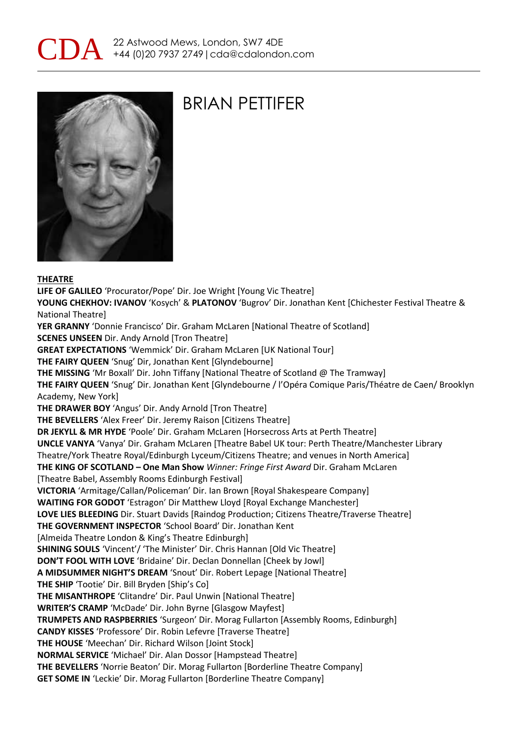



### BRIAN PETTIFER

#### **THEATRE**

**LIFE OF GALILEO** 'Procurator/Pope' Dir. Joe Wright [Young Vic Theatre] **YOUNG CHEKHOV: IVANOV** 'Kosych' & **PLATONOV** 'Bugrov' Dir. Jonathan Kent [Chichester Festival Theatre & National Theatre] **YER GRANNY** 'Donnie Francisco' Dir. Graham McLaren [National Theatre of Scotland] **SCENES UNSEEN** Dir. Andy Arnold [Tron Theatre] **GREAT EXPECTATIONS** 'Wemmick' Dir. Graham McLaren [UK National Tour] **THE FAIRY QUEEN** 'Snug' Dir, Jonathan Kent [Glyndebourne] **THE MISSING** 'Mr Boxall' Dir. John Tiffany [National Theatre of Scotland @ The Tramway] **THE FAIRY QUEEN** 'Snug' Dir. Jonathan Kent [Glyndebourne / l'Opéra Comique Paris/Théatre de Caen/ Brooklyn Academy, New York] **THE DRAWER BOY** 'Angus' Dir. Andy Arnold [Tron Theatre] **THE BEVELLERS** 'Alex Freer' Dir. Jeremy Raison [Citizens Theatre] **DR JEKYLL & MR HYDE** 'Poole' Dir. Graham McLaren [Horsecross Arts at Perth Theatre] **UNCLE VANYA** 'Vanya' Dir. Graham McLaren [Theatre Babel UK tour: Perth Theatre/Manchester Library Theatre/York Theatre Royal/Edinburgh Lyceum/Citizens Theatre; and venues in North America] **THE KING OF SCOTLAND – One Man Show** *Winner: Fringe First Award* Dir. Graham McLaren [Theatre Babel, Assembly Rooms Edinburgh Festival] **VICTORIA** 'Armitage/Callan/Policeman' Dir. Ian Brown [Royal Shakespeare Company] **WAITING FOR GODOT** 'Estragon' Dir Matthew Lloyd [Royal Exchange Manchester] **LOVE LIES BLEEDING** Dir. Stuart Davids [Raindog Production; Citizens Theatre/Traverse Theatre] **THE GOVERNMENT INSPECTOR** 'School Board' Dir. Jonathan Kent [Almeida Theatre London & King's Theatre Edinburgh] **SHINING SOULS** 'Vincent'/ 'The Minister' Dir. Chris Hannan [Old Vic Theatre] **DON'T FOOL WITH LOVE** 'Bridaine' Dir. Declan Donnellan [Cheek by Jowl] **A MIDSUMMER NIGHT'S DREAM** 'Snout' Dir. Robert Lepage [National Theatre] **THE SHIP** 'Tootie' Dir. Bill Bryden [Ship's Co] **THE MISANTHROPE** 'Clitandre' Dir. Paul Unwin [National Theatre] **WRITER'S CRAMP** 'McDade' Dir. John Byrne [Glasgow Mayfest] **TRUMPETS AND RASPBERRIES** 'Surgeon' Dir. Morag Fullarton [Assembly Rooms, Edinburgh] **CANDY KISSES** 'Professore' Dir. Robin Lefevre [Traverse Theatre] **THE HOUSE** 'Meechan' Dir. Richard Wilson [Joint Stock] **NORMAL SERVICE** 'Michael' Dir. Alan Dossor [Hampstead Theatre] **THE BEVELLERS** 'Norrie Beaton' Dir. Morag Fullarton [Borderline Theatre Company] **GET SOME IN** 'Leckie' Dir. Morag Fullarton [Borderline Theatre Company]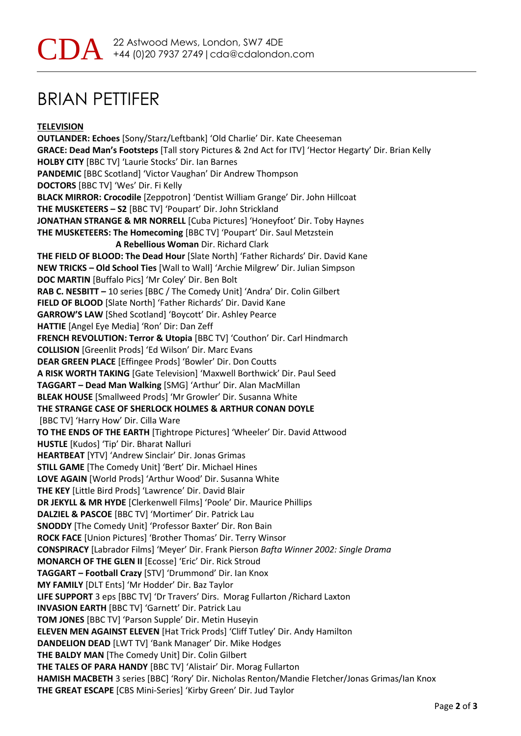## BRIAN PETTIFER

**TELEVISION OUTLANDER: Echoes** [Sony/Starz/Leftbank] 'Old Charlie' Dir. Kate Cheeseman **GRACE: Dead Man's Footsteps** [Tall story Pictures & 2nd Act for ITV] 'Hector Hegarty' Dir. Brian Kelly **HOLBY CITY** [BBC TV] 'Laurie Stocks' Dir. Ian Barnes **PANDEMIC** [BBC Scotland] 'Victor Vaughan' Dir Andrew Thompson **DOCTORS** [BBC TV] 'Wes' Dir. Fi Kelly **BLACK MIRROR: Crocodile** [Zeppotron] 'Dentist William Grange' Dir. John Hillcoat **THE MUSKETEERS – S2** [BBC TV] 'Poupart' Dir. John Strickland **JONATHAN STRANGE & MR NORRELL** [Cuba Pictures] 'Honeyfoot' Dir. Toby Haynes **THE MUSKETEERS: The Homecoming** [BBC TV] 'Poupart' Dir. Saul Metzstein  **A Rebellious Woman** Dir. Richard Clark **THE FIELD OF BLOOD: The Dead Hour** [Slate North] 'Father Richards' Dir. David Kane **NEW TRICKS – Old School Ties** [Wall to Wall] 'Archie Milgrew' Dir. Julian Simpson **DOC MARTIN** [Buffalo Pics] 'Mr Coley' Dir. Ben Bolt **RAB C. NESBITT –** 10 series [BBC / The Comedy Unit] 'Andra' Dir. Colin Gilbert **FIELD OF BLOOD** [Slate North] 'Father Richards' Dir. David Kane **GARROW'S LAW** [Shed Scotland] 'Boycott' Dir. Ashley Pearce **HATTIE** [Angel Eye Media] 'Ron' Dir: Dan Zeff **FRENCH REVOLUTION: Terror & Utopia** [BBC TV] 'Couthon' Dir. Carl Hindmarch **COLLISION** [Greenlit Prods] 'Ed Wilson' Dir. Marc Evans **DEAR GREEN PLACE** [Effingee Prods] 'Bowler' Dir. Don Coutts **A RISK WORTH TAKING** [Gate Television] 'Maxwell Borthwick' Dir. Paul Seed **TAGGART – Dead Man Walking** [SMG] 'Arthur' Dir. Alan MacMillan **BLEAK HOUSE** [Smallweed Prods] 'Mr Growler' Dir. Susanna White **THE STRANGE CASE OF SHERLOCK HOLMES & ARTHUR CONAN DOYLE** [BBC TV] 'Harry How' Dir. Cilla Ware **TO THE ENDS OF THE EARTH** [Tightrope Pictures] 'Wheeler' Dir. David Attwood **HUSTLE** [Kudos] 'Tip' Dir. Bharat Nalluri **HEARTBEAT** [YTV] 'Andrew Sinclair' Dir. Jonas Grimas **STILL GAME** [The Comedy Unit] 'Bert' Dir. Michael Hines **LOVE AGAIN** [World Prods] 'Arthur Wood' Dir. Susanna White **THE KEY** [Little Bird Prods] 'Lawrence' Dir. David Blair **DR JEKYLL & MR HYDE** [Clerkenwell Films] 'Poole' Dir. Maurice Phillips **DALZIEL & PASCOE** [BBC TV] 'Mortimer' Dir. Patrick Lau **SNODDY** [The Comedy Unit] 'Professor Baxter' Dir. Ron Bain **ROCK FACE** [Union Pictures] 'Brother Thomas' Dir. Terry Winsor **CONSPIRACY** [Labrador Films] 'Meyer' Dir. Frank Pierson *Bafta Winner 2002: Single Drama* **MONARCH OF THE GLEN II** [Ecosse] 'Eric' Dir. Rick Stroud **TAGGART – Football Crazy** [STV] 'Drummond' Dir. Ian Knox **MY FAMILY** [DLT Ents] 'Mr Hodder' Dir. Baz Taylor **LIFE SUPPORT** 3 eps [BBC TV] 'Dr Travers' Dirs. Morag Fullarton /Richard Laxton **INVASION EARTH** [BBC TV] 'Garnett' Dir. Patrick Lau **TOM JONES** [BBC TV] 'Parson Supple' Dir. Metin Huseyin **ELEVEN MEN AGAINST ELEVEN** [Hat Trick Prods] 'Cliff Tutley' Dir. Andy Hamilton **DANDELION DEAD** [LWT TV] 'Bank Manager' Dir. Mike Hodges **THE BALDY MAN** [The Comedy Unit] Dir. Colin Gilbert **THE TALES OF PARA HANDY** [BBC TV] 'Alistair' Dir. Morag Fullarton **HAMISH MACBETH** 3 series [BBC] 'Rory' Dir. Nicholas Renton/Mandie Fletcher/Jonas Grimas/Ian Knox **THE GREAT ESCAPE** [CBS Mini-Series] 'Kirby Green' Dir. Jud Taylor